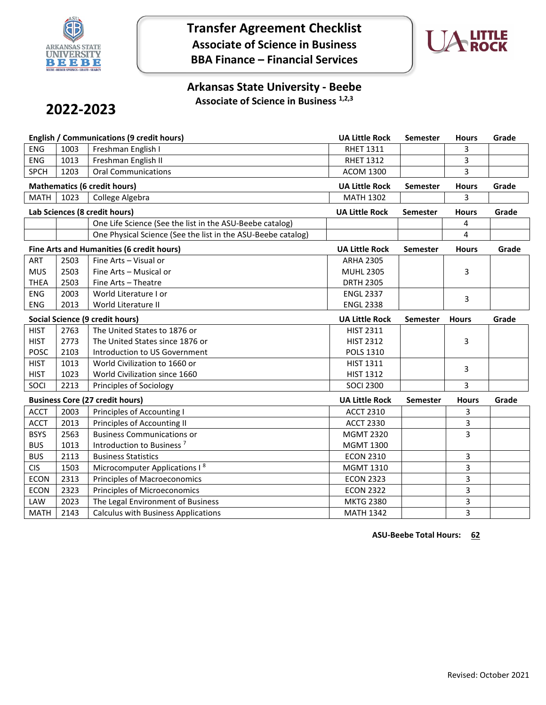

**Transfer Agreement Checklist Associate of Science in Business BBA Finance – Financial Services**



## **Arkansas State University - Beebe Associate of Science in Business 1,2,3**

# **2022-2023**

|                               |      | <b>English / Communications (9 credit hours)</b>             | <b>UA Little Rock</b> | <b>Semester</b> | <b>Hours</b> | Grade |
|-------------------------------|------|--------------------------------------------------------------|-----------------------|-----------------|--------------|-------|
| <b>ENG</b>                    | 1003 | Freshman English I                                           | <b>RHET 1311</b>      |                 | 3            |       |
| <b>ENG</b>                    | 1013 | Freshman English II                                          | <b>RHET 1312</b>      |                 | 3            |       |
| <b>SPCH</b>                   | 1203 | <b>Oral Communications</b>                                   | <b>ACOM 1300</b>      |                 | 3            |       |
|                               |      | <b>Mathematics (6 credit hours)</b>                          | <b>UA Little Rock</b> | <b>Semester</b> | <b>Hours</b> | Grade |
| <b>MATH</b>                   | 1023 | College Algebra                                              | <b>MATH 1302</b>      |                 | 3            |       |
| Lab Sciences (8 credit hours) |      |                                                              | <b>UA Little Rock</b> | <b>Semester</b> | <b>Hours</b> | Grade |
|                               |      | One Life Science (See the list in the ASU-Beebe catalog)     |                       |                 | 4            |       |
|                               |      | One Physical Science (See the list in the ASU-Beebe catalog) |                       |                 | 4            |       |
|                               |      | Fine Arts and Humanities (6 credit hours)                    | <b>UA Little Rock</b> | Semester        | <b>Hours</b> | Grade |
| ART                           | 2503 | Fine Arts - Visual or                                        | <b>ARHA 2305</b>      |                 |              |       |
| <b>MUS</b>                    | 2503 | Fine Arts - Musical or                                       | <b>MUHL 2305</b>      |                 | 3            |       |
| <b>THEA</b>                   | 2503 | Fine Arts - Theatre                                          | <b>DRTH 2305</b>      |                 |              |       |
| <b>ENG</b>                    | 2003 | World Literature I or                                        | <b>ENGL 2337</b>      |                 | 3            |       |
| <b>ENG</b>                    | 2013 | World Literature II                                          | <b>ENGL 2338</b>      |                 |              |       |
|                               |      | Social Science (9 credit hours)                              | <b>UA Little Rock</b> | <b>Semester</b> | <b>Hours</b> | Grade |
| <b>HIST</b>                   | 2763 | The United States to 1876 or                                 | <b>HIST 2311</b>      |                 |              |       |
| <b>HIST</b>                   | 2773 | The United States since 1876 or                              | <b>HIST 2312</b>      |                 | 3            |       |
| <b>POSC</b>                   | 2103 | Introduction to US Government                                | POLS 1310             |                 |              |       |
| <b>HIST</b>                   | 1013 | World Civilization to 1660 or                                | <b>HIST 1311</b>      |                 | 3            |       |
| <b>HIST</b>                   | 1023 | World Civilization since 1660                                | <b>HIST 1312</b>      |                 |              |       |
| SOCI                          | 2213 | Principles of Sociology                                      | <b>SOCI 2300</b>      |                 | 3            |       |
|                               |      | <b>Business Core (27 credit hours)</b>                       | <b>UA Little Rock</b> | <b>Semester</b> | <b>Hours</b> | Grade |
| <b>ACCT</b>                   | 2003 | Principles of Accounting I                                   | <b>ACCT 2310</b>      |                 | 3            |       |
| <b>ACCT</b>                   | 2013 | Principles of Accounting II                                  | <b>ACCT 2330</b>      |                 | 3            |       |
| <b>BSYS</b>                   | 2563 | <b>Business Communications or</b>                            | <b>MGMT 2320</b>      |                 | 3            |       |
| <b>BUS</b>                    | 1013 | Introduction to Business <sup>7</sup>                        | <b>MGMT 1300</b>      |                 |              |       |
| <b>BUS</b>                    | 2113 | <b>Business Statistics</b>                                   | <b>ECON 2310</b>      |                 | 3            |       |
| <b>CIS</b>                    | 1503 | Microcomputer Applications I <sup>8</sup>                    | MGMT 1310             |                 | 3            |       |
| <b>ECON</b>                   | 2313 | <b>Principles of Macroeconomics</b>                          | <b>ECON 2323</b>      |                 | 3            |       |
| <b>ECON</b>                   | 2323 | <b>Principles of Microeconomics</b>                          | <b>ECON 2322</b>      |                 | 3            |       |
| LAW                           |      | The Legal Environment of Business                            | <b>MKTG 2380</b>      |                 | 3            |       |
|                               | 2023 |                                                              |                       |                 |              |       |

**ASU-Beebe Total Hours: 62**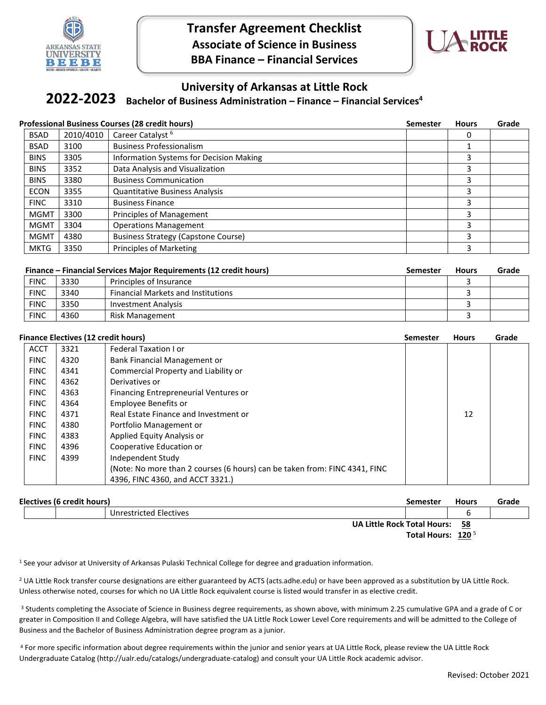

**Transfer Agreement Checklist Associate of Science in Business BBA Finance – Financial Services**



### **University of Arkansas at Little Rock**

#### **Bachelor of Business Administration – Finance – Financial Services4 2022-2023**

#### **Professional Business Courses (28 credit hours) Semester Hours Grade**  BSAD 2010/4010 Career Catalyst <sup>6</sup> 0 BSAD 3100 Business Professionalism and the set of the set of the set of the set of the set of the set of the set of the set of the set of the set of the set of the set of the set of the set of the set of the set of the set BINS 3305 Information Systems for Decision Making 3 BINS 3352 Data Analysis and Visualization 3 and 30 and 30 and 30 and 30 and 30 and 30 and 30 and 30 and 30 and 30 and 30 and 30 and 30 and 30 and 30 and 30 and 30 and 30 and 30 and 30 and 30 and 30 and 30 and 30 and 30 and BINS 3380 Business Communication 3 ECON 3355 Quantitative Business Analysis 3355 and the state of the state of the state of the state of the state of the state of the state of the state of the state of the state of the state of the state of the state of the FINC 3310 Business Finance 3 and 3 and 3 and 3 and 3 and 3 and 3 and 3 and 3 and 3 and 3 and 3 and 3 and 3 and 3 and 3 and 3 and 3 and 3 and 3 and 3 and 3 and 3 and 3 and 3 and 3 and 3 and 3 and 3 and 3 and 3 and 3 and 3 a MGMT 3300 Principles of Management 3 and 3 and 3 and 3 and 3 and 3 and 3 and 3 and 3 and 3 and 3 and 3 and 3 and 3 and 3 and 3 and 3 and 3 and 3 and 3 and 3 and 3 and 3 and 3 and 3 and 3 and 3 and 3 and 3 and 3 and 3 and 3 MGMT 3304 Deperations Management 3 and 3 and 3 and 3 and 3 and 3 and 3 and 3 and 3 and 3 and 3 and 3 and 3 and 3 and 3 and 3 and 3 and 3 and 3 and 3 and 3 and 3 and 3 and 3 and 3 and 3 and 3 and 3 and 3 and 3 and 3 and 3 a MGMT | 4380 Business Strategy (Capstone Course) 3 MKTG 3350 Principles of Marketing 3 and 3 and 3 and 3 and 3 and 3 and 3 and 3 and 3 and 3 and 3 and 3 and 3 and 3 and 3 and 3 and 3 and 3 and 3 and 3 and 3 and 3 and 3 and 3 and 3 and 3 and 3 and 3 and 3 and 3 and 3 and 3

|             |      | <b>Finance – Financial Services Major Requirements (12 credit hours)</b> | Semester | <b>Hours</b> | Grade |
|-------------|------|--------------------------------------------------------------------------|----------|--------------|-------|
| <b>FINC</b> | 3330 | Principles of Insurance                                                  |          |              |       |
| <b>FINC</b> | 3340 | <b>Financial Markets and Institutions</b>                                |          |              |       |
| <b>FINC</b> | 3350 | Investment Analysis                                                      |          |              |       |
| <b>FINC</b> | 4360 | Risk Management                                                          |          |              |       |

| <b>Finance Electives (12 credit hours)</b> |      |                                                                            | Semester | <b>Hours</b> | Grade |
|--------------------------------------------|------|----------------------------------------------------------------------------|----------|--------------|-------|
| <b>ACCT</b>                                | 3321 | <b>Federal Taxation I or</b>                                               |          |              |       |
| <b>FINC</b>                                | 4320 | Bank Financial Management or                                               |          |              |       |
| <b>FINC</b>                                | 4341 | Commercial Property and Liability or                                       |          |              |       |
| <b>FINC</b>                                | 4362 | Derivatives or                                                             |          |              |       |
| <b>FINC</b>                                | 4363 | Financing Entrepreneurial Ventures or                                      |          |              |       |
| <b>FINC</b>                                | 4364 | Employee Benefits or                                                       |          |              |       |
| <b>FINC</b>                                | 4371 | Real Estate Finance and Investment or                                      |          | 12           |       |
| <b>FINC</b>                                | 4380 | Portfolio Management or                                                    |          |              |       |
| <b>FINC</b>                                | 4383 | Applied Equity Analysis or                                                 |          |              |       |
| <b>FINC</b>                                | 4396 | Cooperative Education or                                                   |          |              |       |
| <b>FINC</b>                                | 4399 | Independent Study                                                          |          |              |       |
|                                            |      | (Note: No more than 2 courses (6 hours) can be taken from: FINC 4341, FINC |          |              |       |
|                                            |      | 4396, FINC 4360, and ACCT 3321.)                                           |          |              |       |

| Electives (6 credit hours) |  |  | Semester               | <b>Hours</b>                                    | Grade |  |
|----------------------------|--|--|------------------------|-------------------------------------------------|-------|--|
|                            |  |  | Unrestricted Electives |                                                 | ь     |  |
|                            |  |  |                        | <b>UA Little Rock Total Hours:</b><br><u>58</u> |       |  |
|                            |  |  |                        | Total Hours: 120 <sup>5</sup>                   |       |  |

<sup>1</sup> See your advisor at University of Arkansas Pulaski Technical College for degree and graduation information.

<sup>2</sup> UA Little Rock transfer course designations are either guaranteed by ACTS (acts.adhe.edu) or have been approved as a substitution by UA Little Rock. Unless otherwise noted, courses for which no UA Little Rock equivalent course is listed would transfer in as elective credit.

<sup>3</sup> Students completing the Associate of Science in Business degree requirements, as shown above, with minimum 2.25 cumulative GPA and a grade of C or greater in Composition II and College Algebra, will have satisfied the UA Little Rock Lower Level Core requirements and will be admitted to the College of Business and the Bachelor of Business Administration degree program as a junior.

<sup>4</sup> For more specific information about degree requirements within the junior and senior years at UA Little Rock, please review the UA Little Rock Undergraduate Catalog (http://ualr.edu/catalogs/undergraduate-catalog) and consult your UA Little Rock academic advisor.